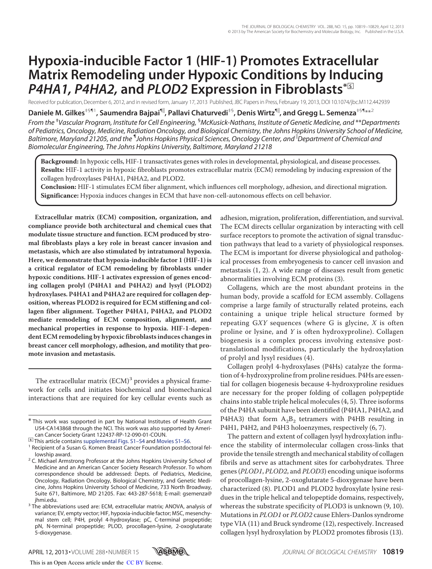# **Hypoxia-inducible Factor 1 (HIF-1) Promotes Extracellular Matrix Remodeling under Hypoxic Conditions by Inducing** *P4HA1, P4HA2,* **and** *PLOD2* **Expression in Fibroblasts\***□**<sup>S</sup>**

Received for publication, December 6, 2012, and in revised form, January 17, 2013 Published, JBC Papers in Press, February 19, 2013, DOI 10.1074/jbc.M112.442939

 $\bm{\mathsf{D}}$ aniele M. Gilkes<sup>द1</sup>, Saumendra Bajpai $^{\mathsf{q}\parallel}$ , Pallavi Chaturvedi<sup>‡§</sup>, Denis Wirtz $^{\mathsf{q}\parallel}$ , and Gregg L. Semenza<sup>द</sup>\*\*<sup>2</sup>

*From the* ‡ *Vascular Program, Institute for Cell Engineering,* §*McKusick-Nathans, Institute of Genetic Medicine, and* \*\**Departments of Pediatrics, Oncology, Medicine, Radiation Oncology, and Biological Chemistry, the Johns Hopkins University School of Medicine,* Baltimore, Maryland 21205, and the <sup>¶</sup>Johns Hopkins Physical Sciences, Oncology Center, and <sup>||</sup>Department of Chemical and *Biomolecular Engineering, The Johns Hopkins University, Baltimore, Maryland 21218*

**Background:** In hypoxic cells, HIF-1 transactivates genes with roles in developmental, physiological, and disease processes. **Results:** HIF-1 activity in hypoxic fibroblasts promotes extracellular matrix (ECM) remodeling by inducing expression of the collagen hydroxylases P4HA1, P4HA2, and PLOD2.

**Conclusion:** HIF-1 stimulates ECM fiber alignment, which influences cell morphology, adhesion, and directional migration. **Significance:** Hypoxia induces changes in ECM that have non-cell-autonomous effects on cell behavior.

**Extracellular matrix (ECM) composition, organization, and compliance provide both architectural and chemical cues that modulate tissue structure and function. ECM produced by stromal fibroblasts plays a key role in breast cancer invasion and metastasis, which are also stimulated by intratumoral hypoxia. Here, we demonstrate that hypoxia-inducible factor 1 (HIF-1) is a critical regulator of ECM remodeling by fibroblasts under hypoxic conditions. HIF-1 activates expression of genes encoding collagen prolyl (P4HA1 and P4HA2) and lysyl (PLOD2) hydroxylases. P4HA1 and P4HA2 are required for collagen deposition, whereas PLOD2 is required for ECM stiffening and collagen fiber alignment. Together P4HA1, P4HA2, and PLOD2 mediate remodeling of ECM composition, alignment, and mechanical properties in response to hypoxia. HIF-1-dependent ECM remodeling by hypoxic fibroblasts induces changes in breast cancer cell morphology, adhesion, and motility that promote invasion and metastasis.**

The extracellular matrix (ECM)<sup>3</sup> provides a physical framework for cells and initiates biochemical and biomechanical interactions that are required for key cellular events such as adhesion, migration, proliferation, differentiation, and survival. The ECM directs cellular organization by interacting with cell surface receptors to promote the activation of signal transduction pathways that lead to a variety of physiological responses. The ECM is important for diverse physiological and pathological processes from embryogenesis to cancer cell invasion and metastasis (1, 2). A wide range of diseases result from genetic abnormalities involving ECM proteins (3).

Collagens, which are the most abundant proteins in the human body, provide a scaffold for ECM assembly. Collagens comprise a large family of structurally related proteins, each containing a unique triple helical structure formed by repeating  $GXY$  sequences (where G is glycine, X is often proline or lysine, and Y is often hydroxyproline). Collagen biogenesis is a complex process involving extensive posttranslational modifications, particularly the hydroxylation of prolyl and lysyl residues (4).

Collagen prolyl 4-hydroxylases (P4Hs) catalyze the formation of 4-hydroxyproline from proline residues. P4Hs are essential for collagen biogenesis because 4-hydroxyproline residues are necessary for the proper folding of collagen polypeptide chains into stable triple helical molecules (4, 5). Three isoforms of the P4HA subunit have been identified (P4HA1, P4HA2, and P4HA3) that form  $A_2B_2$  tetramers with P4HB resulting in P4H1, P4H2, and P4H3 holoenzymes, respectively (6, 7).

The pattern and extent of collagen lysyl hydroxylation influence the stability of intermolecular collagen cross-links that provide the tensile strength and mechanical stability of collagen fibrils and serve as attachment sites for carbohydrates. Three genes (PLOD1, PLOD2, and PLOD3) encoding unique isoforms of procollagen-lysine, 2-oxoglutarate 5-dioxygenase have been characterized (8). PLOD1 and PLOD2 hydroxylate lysine residues in the triple helical and telopeptide domains, respectively, whereas the substrate specificity of PLOD3 is unknown (9, 10). Mutations in PLOD1 or PLOD2 cause Ehlers-Danlos syndrome type VIA (11) and Bruck syndrome (12), respectively. Increased collagen lysyl hydroxylation by PLOD2 promotes fibrosis (13).



<sup>\*</sup> This work was supported in part by National Institutes of Health Grant U54-CA143868 through the NCI. This work was also supported by American Cancer Society Grant 122437-RP-12-090-01-COUN.

<sup>□</sup>**S** This article contains supplemental Figs. S1–S4 and Movies S1–S6.

<sup>&</sup>lt;sup>1</sup> Recipient of a Susan G. Komen Breast Cancer Foundation postdoctoral fellowship award.

<sup>&</sup>lt;sup>2</sup> C. Michael Armstrong Professor at the Johns Hopkins University School of Medicine and an American Cancer Society Research Professor. To whom correspondence should be addressed: Depts. of Pediatrics, Medicine, Oncology, Radiation Oncology, Biological Chemistry, and Genetic Medicine, Johns Hopkins University School of Medicine, 733 North Broadway, Suite 671, Baltimore, MD 21205. Fax: 443-287-5618; E-mail: gsemenza@ jhmi.edu.

<sup>&</sup>lt;sup>3</sup> The abbreviations used are: ECM, extracellular matrix; ANOVA, analysis of variance; EV, empty vector; HIF, hypoxia-inducible factor; MSC, mesenchymal stem cell; P4H, prolyl 4-hydroxylase; pC, C-terminal propeptide; pN, N-terminal propeptide; PLOD, procollagen-lysine, 2-oxoglutarate 5-dioxygenase.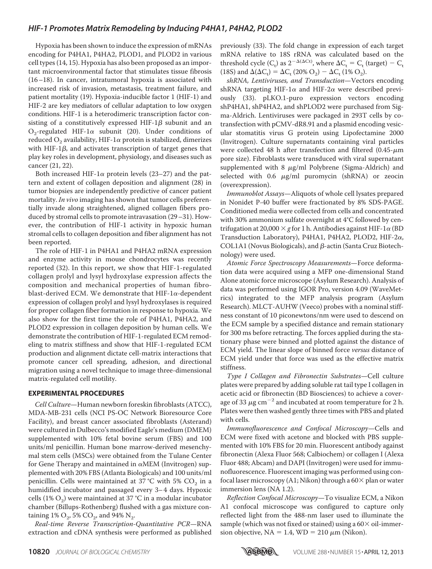Hypoxia has been shown to induce the expression of mRNAs encoding for P4HA1, P4HA2, PLOD1, and PLOD2 in various cell types (14, 15). Hypoxia has also been proposed as an important microenvironmental factor that stimulates tissue fibrosis (16–18). In cancer, intratumoral hypoxia is associated with increased risk of invasion, metastasis, treatment failure, and patient mortality (19). Hypoxia-inducible factor 1 (HIF-1) and HIF-2 are key mediators of cellular adaptation to low oxygen conditions. HIF-1 is a heterodimeric transcription factor consisting of a constitutively expressed HIF-1 $\beta$  subunit and an  $O_2$ -regulated HIF-1 $\alpha$  subunit (20). Under conditions of reduced  $\mathrm{O}_2$  availability, HIF-1 $\alpha$  protein is stabilized, dimerizes with HIF-1 $\beta$ , and activates transcription of target genes that play key roles in development, physiology, and diseases such as cancer (21, 22).

Both increased HIF-1 $\alpha$  protein levels (23–27) and the pattern and extent of collagen deposition and alignment (28) in tumor biopsies are independently predictive of cancer patient mortality. In vivo imaging has shown that tumor cells preferentially invade along straightened, aligned collagen fibers produced by stromal cells to promote intravasation (29–31). However, the contribution of HIF-1 activity in hypoxic human stromal cells to collagen deposition and fiber alignment has not been reported.

The role of HIF-1 in P4HA1 and P4HA2 mRNA expression and enzyme activity in mouse chondrocytes was recently reported (32). In this report, we show that HIF-1-regulated collagen prolyl and lysyl hydroxylase expression affects the composition and mechanical properties of human fibroblast-derived ECM. We demonstrate that HIF-1 $\alpha$ -dependent expression of collagen prolyl and lysyl hydroxylases is required for proper collagen fiber formation in response to hypoxia. We also show for the first time the role of P4HA1, P4HA2, and PLOD2 expression in collagen deposition by human cells. We demonstrate the contribution of HIF-1-regulated ECM remodeling to matrix stiffness and show that HIF-1-regulated ECM production and alignment dictate cell-matrix interactions that promote cancer cell spreading, adhesion, and directional migration using a novel technique to image three-dimensional matrix-regulated cell motility.

#### **EXPERIMENTAL PROCEDURES**

Cell Culture—Human newborn foreskin fibroblasts (ATCC), MDA-MB-231 cells (NCI PS-OC Network Bioresource Core Facility), and breast cancer associated fibroblasts (Asterand) were cultured in Dulbecco's modified Eagle's medium (DMEM) supplemented with 10% fetal bovine serum (FBS) and 100 units/ml penicillin. Human bone marrow-derived mesenchymal stem cells (MSCs) were obtained from the Tulane Center for Gene Therapy and maintained in  $\alpha$ MEM (Invitrogen) supplemented with 20% FBS (Atlanta Biologicals) and 100 units/ml penicillin. Cells were maintained at 37 °C with 5%  $\mathrm{CO}_2$  in a humidified incubator and passaged every 3-4 days. Hypoxic cells (1%  $O_2$ ) were maintained at 37 °C in a modular incubator chamber (Billups-Rothenberg) flushed with a gas mixture containing  $1\%$  O<sub>2</sub>, 5% CO<sub>2</sub>, and 94% N<sub>2</sub>.

Real-time Reverse Transcription-Quantitative PCR—RNA extraction and cDNA synthesis were performed as published previously (33). The fold change in expression of each target mRNA relative to 18S rRNA was calculated based on the threshold cycle (C<sub>t</sub>) as  $2^{-\Delta(\Delta Ct)}$ , where  $\Delta C_t = C_t$  (target) – C<sub>t</sub> (18S) and  $\Delta(\Delta C_t) = \Delta C_t (20\% O_2) - \Delta C_t (1\% O_2)$ .

shRNA, Lentiviruses, and Transduction—Vectors encoding shRNA targeting HIF-1 $\alpha$  and HIF-2 $\alpha$  were described previously (33). pLKO.1-puro expression vectors encoding shP4HA1, shP4HA2, and shPLOD2 were purchased from Sigma-Aldrich. Lentiviruses were packaged in 293T cells by cotransfection with pCMV-dR8.91 and a plasmid encoding vesicular stomatitis virus G protein using Lipofectamine 2000 (Invitrogen). Culture supernatants containing viral particles were collected 48 h after transfection and filtered  $(0.45 \text{-} \mu \text{m})$ pore size). Fibroblasts were transduced with viral supernatant supplemented with 8  $\mu$ g/ml Polybrene (Sigma-Aldrich) and selected with 0.6  $\mu$ g/ml puromycin (shRNA) or zeocin (overexpression).

Immunoblot Assays—Aliquots of whole cell lysates prepared in Nonidet P-40 buffer were fractionated by 8% SDS-PAGE. Conditioned media were collected from cells and concentrated with 30% ammonium sulfate overnight at 4°C followed by centrifugation at 20,000  $\times$  g for 1 h. Antibodies against HIF-1 $\alpha$  (BD Transduction Laboratory), P4HA1, P4HA2, PLOD2, HIF-2 $\alpha$ , COL1A1 (Novus Biologicals), and  $\beta$ -actin (Santa Cruz Biotechnology) were used.

Atomic Force Spectroscopy Measurements—Force deformation data were acquired using a MFP one-dimensional Stand Alone atomic force microscope (Asylum Research). Analysis of data was performed using IGOR Pro, version 4.09 (WaveMetrics) integrated to the MFP analysis program (Asylum Research). MLCT-AUHW (Veeco) probes with a nominal stiffness constant of 10 piconewtons/nm were used to descend on the ECM sample by a specified distance and remain stationary for 300 ms before retracting. The forces applied during the stationary phase were binned and plotted against the distance of ECM yield. The linear slope of binned force versus distance of ECM yield under that force was used as the effective matrix stiffness.

Type I Collagen and Fibronectin Substrates—Cell culture plates were prepared by adding soluble rat tail type I collagen in acetic acid or fibronectin (BD Biosciences) to achieve a coverage of 33  $\mu$ g cm<sup>-2</sup> and incubated at room temperature for 2 h. Plates were then washed gently three times with PBS and plated with cells.

Immunofluorescence and Confocal Microscopy—Cells and ECM were fixed with acetone and blocked with PBS supplemented with 10% FBS for 20 min. Fluorescent antibody against fibronectin (Alexa Fluor 568; Calbiochem) or collagen I (Alexa Fluor 488; Abcam) and DAPI (Invitrogen) were used for immunofluorescence. Fluorescent imaging was performed using confocal laser microscopy (A1; Nikon) through a  $60\times$  plan or water immersion lens (NA 1.2).

Reflection Confocal Microscopy—To visualize ECM, a Nikon A1 confocal microscope was configured to capture only reflected light from the 488-nm laser used to illuminate the sample (which was not fixed or stained) using a  $60\times$  oil-immersion objective,  $NA = 1.4$ ,  $WD = 210 \mu m$  (Nikon).

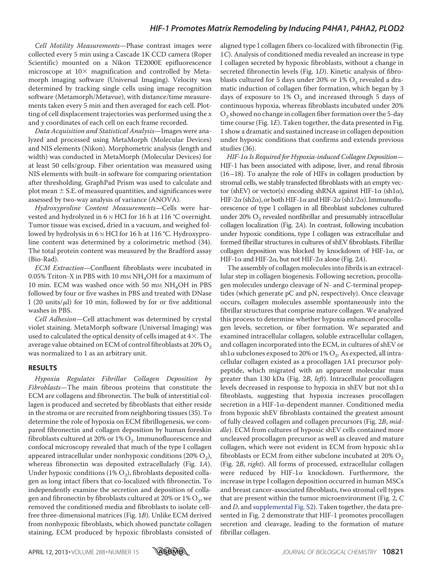Cell Motility Measurements—Phase contrast images were collected every 5 min using a Cascade 1K CCD camera (Roper Scientific) mounted on a Nikon TE2000E epifluorescence microscope at  $10\times$  magnification and controlled by Metamorph imaging software (Universal Imaging). Velocity was determined by tracking single cells using image recognition software (Metamorph/Metavue), with distance/time measurements taken every 5 min and then averaged for each cell. Plotting of cell displacement trajectories was performed using the  $x$ and y coordinates of each cell on each frame recorded.

Data Acquisition and Statistical Analysis—Images were analyzed and processed using MetaMorph (Molecular Devices) and NIS elements (Nikon). Morphometric analysis (length and width) was conducted in MetaMorph (Molecular Devices) for at least 50 cells/group. Fiber orientation was measured using NIS elements with built-in software for comparing orientation after thresholding. GraphPad Prism was used to calculate and plot mean  $\pm$  S.E. of measured quantities, and significances were assessed by two-way analysis of variance (ANOVA).

Hydroxyproline Content Measurements—Cells were harvested and hydrolyzed in 6 N HCl for 16 h at 116 °C overnight. Tumor tissue was excised, dried in a vacuum, and weighed followed by hydrolysis in 6 N HCl for 16 h at 116 °C. Hydroxyproline content was determined by a colorimetric method (34). The total protein content was measured by the Bradford assay (Bio-Rad).

ECM Extraction—Confluent fibroblasts were incubated in 0.05% Triton-X in PBS with 10 mm  $NH<sub>4</sub>OH$  for a maximum of 10 min. ECM was washed once with 50 mm  $NH<sub>4</sub>OH$  in PBS followed by four or five washes in PBS and treated with DNase I (20 units/ $\mu$ l) for 10 min, followed by for or five additional washes in PBS.

Cell Adhesion—Cell attachment was determined by crystal violet staining. MetaMorph software (Universal Imaging) was used to calculated the optical density of cells imaged at  $4\times$ . The average value obtained on ECM of control fibroblasts at  $20\%$  O<sub>2</sub> was normalized to 1 as an arbitrary unit.

#### **RESULTS**

Hypoxia Regulates Fibrillar Collagen Deposition by Fibroblasts—The main fibrous proteins that constitute the ECM are collagens and fibronectin. The bulk of interstitial collagen is produced and secreted by fibroblasts that either reside in the stroma or are recruited from neighboring tissues (35). To determine the role of hypoxia on ECM fibrillogenesis, we compared fibronectin and collagen deposition by human foreskin fibroblasts cultured at 20% or 1%  $\mathrm{O}_2$ . Immunofluorescence and confocal microscopy revealed that much of the type I collagen appeared intracellular under nonhypoxic conditions (20%  $\mathrm{O}_2$ ), whereas fibronectin was deposited extracellularly (Fig. 1A). Under hypoxic conditions (1%  $\mathrm{O}_2$ ), fibroblasts deposited collagen as long intact fibers that co-localized with fibronectin. To independently examine the secretion and deposition of collagen and fibronectin by fibroblasts cultured at 20% or  $1\%$   $\mathrm{O}_2$ , we removed the conditioned media and fibroblasts to isolate cellfree three-dimensional matrices (Fig. 1B). Unlike ECM derived from nonhypoxic fibroblasts, which showed punctate collagen staining, ECM produced by hypoxic fibroblasts consisted of aligned type I collagen fibers co-localized with fibronectin (Fig. 1C). Analysis of conditioned media revealed an increase in type I collagen secreted by hypoxic fibroblasts, without a change in secreted fibronectin levels (Fig. 1D). Kinetic analysis of fibroblasts cultured for 5 days under 20% or 1%  $\mathrm{O}_2$  revealed a dramatic induction of collagen fiber formation, which began by 3 days of exposure to  $1\%$   $O_2$  and increased through 5 days of continuous hypoxia, whereas fibroblasts incubated under 20%  $\mathrm{O}_2$  showed no change in collagen fiber formation over the 5-day time course (Fig.  $1E$ ). Taken together, the data presented in Fig. 1 show a dramatic and sustained increase in collagen deposition under hypoxic conditions that confirms and extends previous studies (36).

HIF-1α Is Required for Hypoxia-induced Collagen Deposition— HIF-1 has been associated with adipose, liver, and renal fibrosis (16–18). To analyze the role of HIFs in collagen production by stromal cells, we stably transfected fibroblasts with an empty vector (shEV) or vector(s) encoding shRNA against HIF-1 $\alpha$  (sh1 $\alpha$ ), HIF-2 $\alpha$  (sh2 $\alpha$ ), or both HIF-1 $\alpha$  and HIF-2 $\alpha$  (sh1/2 $\alpha$ ). Immunofluorescence of type I collagen in all fibroblast subclones cultured under 20%  $\mathrm{O}_2$  revealed nonfibrillar and presumably intracellular collagen localization (Fig. 2A). In contrast, following incubation under hypoxic conditions, type I collagen was extracellular and formed fibrillar structures in cultures of shEV fibroblasts. Fibrillar collagen deposition was blocked by knockdown of HIF-1 $\alpha$ , or HIF-1 $\alpha$  and HIF-2 $\alpha$ , but not HIF-2 $\alpha$  alone (Fig. 2A).

The assembly of collagen molecules into fibrils is an extracellular step in collagen biogenesis. Following secretion, procollagen molecules undergo cleavage of N- and C-terminal propeptides (which generate pC and pN, respectively). Once cleavage occurs, collagen molecules assemble spontaneously into the fibrillar structures that comprise mature collagen. We analyzed this process to determine whether hypoxia enhanced procollagen levels, secretion, or fiber formation. We separated and examined intracellular collagen, soluble extracellular collagen, and collagen incorporated into the ECM, in cultures of shEV or sh1 $\alpha$  subclones exposed to 20% or 1%  $\mathrm{O}_2.$  As expected, all intracellular collagen existed as a procollagen 1A1 precursor polypeptide, which migrated with an apparent molecular mass greater than 130 kDa (Fig. 2B, left). Intracellular procollagen levels decreased in response to hypoxia in shEV but not sh1 $\alpha$ fibroblasts, suggesting that hypoxia increases procollagen secretion in a HIF-1 $\alpha$ -dependent manner. Conditioned media from hypoxic shEV fibroblasts contained the greatest amount of fully cleaved collagen and collagen precursors (Fig. 2B, middle). ECM from cultures of hypoxic shEV cells contained more uncleaved procollagen precursor as well as cleaved and mature collagen, which were not evident in ECM from hypoxic sh1 $\alpha$ fibroblasts or ECM from either subclone incubated at 20%  $O_2$ (Fig. 2B, right). All forms of processed, extracellular collagen were reduced by HIF-1 $\alpha$  knockdown. Furthermore, the increase in type I collagen deposition occurred in human MSCs and breast cancer-associated fibroblasts, two stromal cell types that are present within the tumor microenvironment (Fig. 2, C and D, and supplemental Fig. S2). Taken together, the data presented in Fig. 2 demonstrate that HIF-1 promotes procollagen secretion and cleavage, leading to the formation of mature fibrillar collagen.

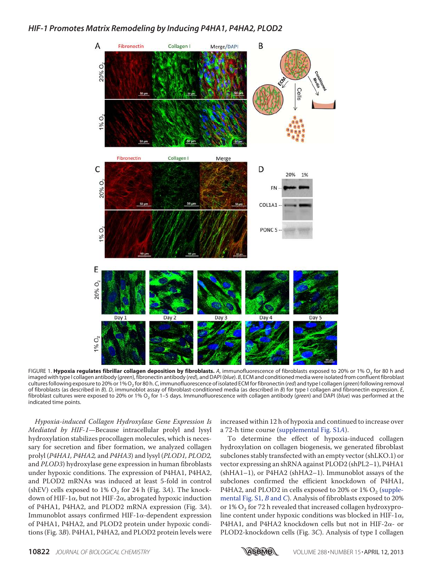

FIGURE 1. **Hypoxia regulates fibrillar collagen deposition by fibroblasts.** *A*, immunofluorescence of fibroblasts exposed to 20% or 1% O<sup>2</sup> for 80 h and imaged with type I collagen antibody (*green*), fibronectin antibody (*red*), and DAPI (*blue*). *B*, ECM and conditioned media were isolated from confluent fibroblast cultures following exposure to 20% or 1% O<sup>2</sup> for 80 h. *C*, immunofluorescence of isolated ECM for fibronectin (*red*) and type I collagen (*green*) following removal of fibroblasts (as described in *B*). *D*, immunoblot assay of fibroblast-conditioned media (as described in *B*) for type I collagen and fibronectin expression. *E*, fibroblast cultures were exposed to 20% or 1% O<sub>2</sub> for 1–5 days. Immunofluorescence with collagen antibody (*green*) and DAPI (*blue*) was performed at the indicated time points.

Hypoxia-induced Collagen Hydroxylase Gene Expression Is Mediated by HIF-1—Because intracellular prolyl and lysyl hydroxylation stabilizes procollagen molecules, which is necessary for secretion and fiber formation, we analyzed collagen prolyl (P4HA1, P4HA2, and P4HA3) and lysyl (PLOD1, PLOD2, and PLOD3) hydroxylase gene expression in human fibroblasts under hypoxic conditions. The expression of P4HA1, P4HA2, and PLOD2 mRNAs was induced at least 5-fold in control (shEV) cells exposed to 1%  $O_2$  for 24 h (Fig. 3A). The knockdown of HIF-1 $\alpha$ , but not HIF-2 $\alpha$ , abrogated hypoxic induction of P4HA1, P4HA2, and PLOD2 mRNA expression (Fig. 3A). Immunoblot assays confirmed HIF-1 $\alpha$ -dependent expression of P4HA1, P4HA2, and PLOD2 protein under hypoxic conditions (Fig. 3B). P4HA1, P4HA2, and PLOD2 protein levels were

increased within 12 h of hypoxia and continued to increase over a 72-h time course (supplemental Fig. S1A).

To determine the effect of hypoxia-induced collagen hydroxylation on collagen biogenesis, we generated fibroblast subclones stably transfected with an empty vector (shLKO.1) or vector expressing an shRNA against PLOD2 (shPL2–1), P4HA1 (shHA1–1), or P4HA2 (shHA2–1). Immunoblot assays of the subclones confirmed the efficient knockdown of P4HA1, P4HA2, and PLOD2 in cells exposed to 20% or  $1\%$  O<sub>2</sub> (supplemental Fig. S1, B and C). Analysis of fibroblasts exposed to 20% or 1%  $\mathrm{O}_2$  for 72 h revealed that increased collagen hydroxyproline content under hypoxic conditions was blocked in HIF-1 $\alpha$ , P4HA1, and P4HA2 knockdown cells but not in HIF-2 $\alpha$ - or PLOD2-knockdown cells (Fig. 3C). Analysis of type I collagen

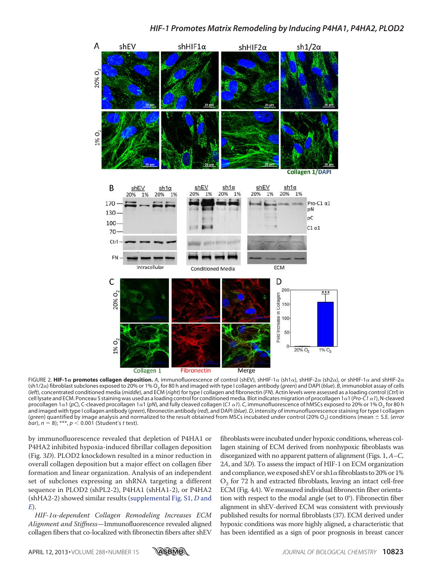

FIGURE 2. **HIF-1** $\alpha$  **promotes collagen deposition.** A, immunofluorescence of control (shEV), shHIF-1 $\alpha$  (sh1 $\alpha$ ), shHIF-2 $\alpha$  (sh2 $\alpha$ ), or shHIF-1 $\alpha$  and shHIF-2 $\alpha$ (sh1/2 $\alpha$ ) fibroblast subclones exposed to 20% or 1% O<sub>2</sub> for 80 h and imaged with type I collagen antibody (*green*) and DAPI (*blue*). *B*, immunoblot assay of cells (*left*), concentrated conditioned media (*middle*), and ECM (*right*) for type I collagen and fibronectin (*FN*). Actin levels were assessed as a loading control (*Ctrl*) in cell lysate and ECM. Ponceau S staining was used as a loading control for conditioned media. Blot indicates migration of procollagen 1-1 (*Pro-C1*-*1*), N-cleaved procollagen 1 $\alpha$ 1 (pC), C-cleaved procollagen 1 $\alpha$ 1 (pN), and fully cleaved collagen (C1  $\alpha$ 1). C, immunofluorescence of hMSCs exposed to 20% or 1% O<sub>2</sub> for 80 h and imaged with type I collagen antibody (*green*), fibronectin antibody (*red*), and DAPI (*blue*).*D*, intensity of immunofluorescence staining for type I collagen (*green*) quantified by image analysis and normalized to the result obtained from MSCs incubated under control (20% O<sub>2</sub>) conditions (mean  $\pm$  S.E. (*error bar*),  $n = 8$ ); \*\*\*,  $p < 0.001$  (Student's *t* test).

by immunofluorescence revealed that depletion of P4HA1 or P4HA2 inhibited hypoxia-induced fibrillar collagen deposition (Fig. 3D). PLOD2 knockdown resulted in a minor reduction in overall collagen deposition but a major effect on collagen fiber formation and linear organization. Analysis of an independent set of subclones expressing an shRNA targeting a different sequence in PLOD2 (shPL2-2), P4HA1 (shHA1-2), or P4HA2 (shHA2-2) showed similar results (supplemental Fig. S1, D and  $E$ ).

HIF-1α-dependent Collagen Remodeling Increases ECM Alignment and Stiffness—Immunofluorescence revealed aligned collagen fibers that co-localized with fibronectin fibers after shEV fibroblasts were incubated under hypoxic conditions, whereas collagen staining of ECM derived from nonhypoxic fibroblasts was disorganized with no apparent pattern of alignment (Figs. 1, A–C, 2A, and 3D). To assess the impact of HIF-1 on ECM organization and compliance, we exposed shEV or sh $1\alpha$  fibroblasts to 20% or  $1\%$  $O_2$  for 72 h and extracted fibroblasts, leaving an intact cell-free ECM (Fig. 4A). We measured individual fibronectin fiber orientation with respect to the modal angle (set to 0°). Fibronectin fiber alignment in shEV-derived ECM was consistent with previously published results for normal fibroblasts (37). ECM derived under hypoxic conditions was more highly aligned, a characteristic that has been identified as a sign of poor prognosis in breast cancer

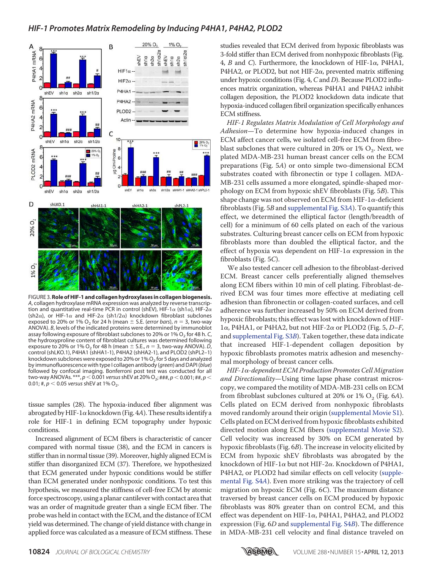

FIGURE 3.**Role of HIF-1 and collagen hydroxylases in collagen biogenesis.** *A*, collagen hydroxylase mRNA expression was analyzed by reverse transcription and quantitative real-time PCR in control (shEV), HIF-1 $\alpha$  (sh1 $\alpha$ ), HIF-2 $\alpha$ (sh2 $\alpha$ ), or HIF-1 $\alpha$  and HIF-2 $\alpha$  (sh1/2 $\alpha$ ) knockdown fibroblast subclones exposed to 20% or 1%  $O_2$  for 24 h (mean  $\pm$  S.E. (*error bars*),  $n = 3$ , two-way ANOVA). *B*, levels of the indicated proteins were determined by immunoblot assay following exposure of fibroblast subclones to 20% or 1% O<sub>2</sub> for 48 h.*C*, the hydroxyproline content of fibroblast cultures was determined following exposure to 20% or 1% O<sub>2</sub> for 48 h (mean  $\pm$  S.E., *n* = 3, two-way ANOVA). *D*, control (shLKO.1), P4HA1 (shHA1-1), P4HA2 (shHA2-1), and PLOD2 (shPL2–1) knockdown subclones were exposed to 20% or 1% O<sub>2</sub> for 5 days and analyzed by immunofluorescence with type I collagen antibody (*green*) and DAPI (*blue*) followed by confocal imaging. Bonferroni post test was conducted for all two-way ANOVAs. \*\*\*, *p* < 0.001 *versus* shEV at 20% O<sub>2</sub>; ###, *p* < 0.001; ##, *p* < 0.01; #,  $p < 0.05$  *versus* shEV at 1% O<sub>2</sub>.

tissue samples (28). The hypoxia-induced fiber alignment was abrogated by HIF-1 $\alpha$  knockdown (Fig. 4A). These results identify a role for HIF-1 in defining ECM topography under hypoxic conditions.

Increased alignment of ECM fibers is characteristic of cancer compared with normal tissue (38), and the ECM in cancers is stiffer than in normal tissue (39). Moreover, highly aligned ECM is stiffer than disorganized ECM (37). Therefore, we hypothesized that ECM generated under hypoxic conditions would be stiffer than ECM generated under nonhypoxic conditions. To test this hypothesis, we measured the stiffness of cell-free ECM by atomic force spectroscopy, using a planar cantilever with contact area that was an order of magnitude greater than a single ECM fiber. The probe was held in contact with the ECM, and the distance of ECM yield was determined. The change of yield distance with change in applied force was calculated as a measure of ECM stiffness. These

studies revealed that ECM derived from hypoxic fibroblasts was 3-fold stiffer than ECM derived from nonhypoxic fibroblasts (Fig. 4, *B* and *C*). Furthermore, the knockdown of HIF-1 $\alpha$ , P4HA1, P4HA2, or PLOD2, but not HIF-2 $\alpha$ , prevented matrix stiffening under hypoxic conditions (Fig. 4, C and D). Because PLOD2 influences matrix organization, whereas P4HA1 and P4HA2 inhibit collagen deposition, the PLOD2 knockdown data indicate that hypoxia-induced collagen fibril organization specifically enhances ECM stiffness.

HIF-1 Regulates Matrix Modulation of Cell Morphology and Adhesion—To determine how hypoxia-induced changes in ECM affect cancer cells, we isolated cell-free ECM from fibroblast subclones that were cultured in 20% or 1%  $\mathrm{O}_2$ . Next, we plated MDA-MB-231 human breast cancer cells on the ECM preparations (Fig. 5A) or onto simple two-dimensional ECM substrates coated with fibronectin or type I collagen. MDA-MB-231 cells assumed a more elongated, spindle-shaped morphology on ECM from hypoxic shEV fibroblasts (Fig. 5B). This shape change was not observed on ECM from HIF-1 $\alpha$ -deficient fibroblasts (Fig. 5B and supplemental Fig. S3A). To quantify this effect, we determined the elliptical factor (length/breadth of cell) for a minimum of 60 cells plated on each of the various substrates. Culturing breast cancer cells on ECM from hypoxic fibroblasts more than doubled the elliptical factor, and the effect of hypoxia was dependent on HIF-1 $\alpha$  expression in the fibroblasts (Fig. 5C).

We also tested cancer cell adhesion to the fibroblast-derived ECM. Breast cancer cells preferentially aligned themselves along ECM fibers within 10 min of cell plating. Fibroblast-derived ECM was four times more effective at mediating cell adhesion than fibronectin or collagen-coated surfaces, and cell adherence was further increased by 50% on ECM derived from hypoxic fibroblasts; this effect was lost with knockdown of HIF- $1\alpha$ , P4HA1, or P4HA2, but not HIF-2 $\alpha$  or PLOD2 (Fig. 5, D–F, and supplemental Fig. S3B). Taken together, these data indicate that increased HIF-1-dependent collagen deposition by hypoxic fibroblasts promotes matrix adhesion and mesenchymal morphology of breast cancer cells.

 $H$ IF-1 $\alpha$ -dependent ECM Production Promotes Cell Migration and Directionality-Using time lapse phase contrast microscopy, we compared the motility of MDA-MB-231 cells on ECM from fibroblast subclones cultured at 20% or  $1\%$  O<sub>2</sub> (Fig. 6A). Cells plated on ECM derived from nonhypoxic fibroblasts moved randomly around their origin (supplemental Movie S1). Cells plated on ECM derived from hypoxic fibroblasts exhibited directed motion along ECM fibers (supplemental Movie S2). Cell velocity was increased by 30% on ECM generated by hypoxic fibroblasts (Fig. 6B). The increase in velocity elicited by ECM from hypoxic shEV fibroblasts was abrogated by the knockdown of HIF-1 $\alpha$  but not HIF-2 $\alpha$ . Knockdown of P4HA1, P4HA2, or PLOD2 had similar effects on cell velocity (supplemental Fig. S4A). Even more striking was the trajectory of cell migration on hypoxic ECM (Fig. 6C). The maximum distance traversed by breast cancer cells on ECM produced by hypoxic fibroblasts was 80% greater than on control ECM, and this effect was dependent on HIF-1 $\alpha$ , P4HA1, P4HA2, and PLOD2 expression (Fig. 6D and supplemental Fig. S4B). The difference in MDA-MB-231 cell velocity and final distance traveled on

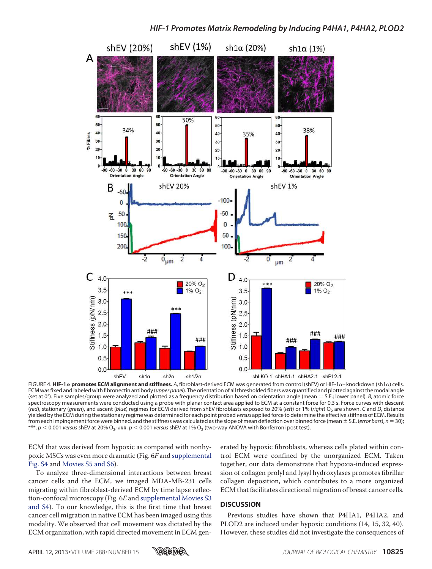

FIGURE 4. **HIF-1** $\alpha$  **promotes ECM alignment and stiffness.** A, fibroblast-derived ECM was generated from control (shEV) or HIF-1 $\alpha$ – knockdown (sh1 $\alpha$ ) cells. ECM was fixed and labeled with fibronectin antibody (*upper panel*). The orientation of all thresholded fibers was quantified and plotted against the modal angle (set at 0°). Five samples/group were analyzed and plotted as a frequency distribution based on orientation angle (mean  $\pm$  S.E.; lower panel). *B*, atomic force spectroscopy measurements were conducted using a probe with planar contact area applied to ECM at a constant force for 0.3 s. Force curves with descent (*red*), stationary (green), and ascent (blue) regimes for ECM derived from shEV fibroblasts exposed to 20% (left) or 1% (right) O<sub>2</sub> are shown. C and *D*, distance yielded by the ECM during the stationary regime was determined for each point probed *versus* applied force to determine the effective stiffness of ECM. Results from each impingement force were binned, and the stiffness was calculated as the slope of mean deflection over binned force (mean  $\pm$  S.E. (*error bars*),  $n = 30$ ;  $^{***}$ ,  $p$   $<$  0.001 *versus* shEV at 20% O<sub>2</sub>; ###,  $p$   $<$  0.001 *versus* shEV at 1% O<sub>2</sub> (two-way ANOVA with Bonferroni post test).

ECM that was derived from hypoxic as compared with nonhypoxic MSCs was even more dramatic (Fig. 6F and supplemental Fig. S4 and Movies S5 and S6).

To analyze three-dimensional interactions between breast cancer cells and the ECM, we imaged MDA-MB-231 cells migrating within fibroblast-derived ECM by time lapse reflection-confocal microscopy (Fig. 6E and supplemental Movies S3 and S4). To our knowledge, this is the first time that breast cancer cell migration in native ECM has been imaged using this modality. We observed that cell movement was dictated by the ECM organization, with rapid directed movement in ECM generated by hypoxic fibroblasts, whereas cells plated within control ECM were confined by the unorganized ECM. Taken together, our data demonstrate that hypoxia-induced expression of collagen prolyl and lysyl hydroxylases promotes fibrillar collagen deposition, which contributes to a more organized ECM that facilitates directional migration of breast cancer cells.

#### **DISCUSSION**

Previous studies have shown that P4HA1, P4HA2, and PLOD2 are induced under hypoxic conditions (14, 15, 32, 40). However, these studies did not investigate the consequences of

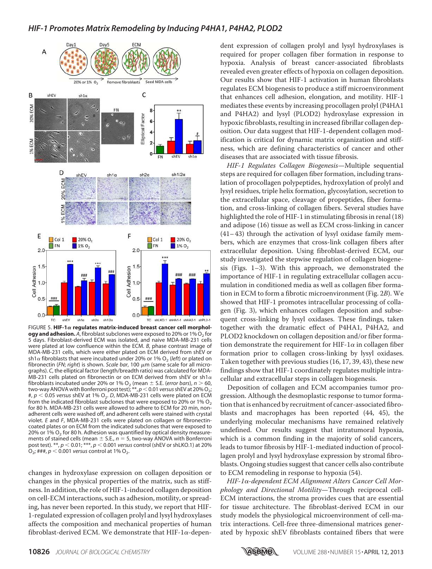

FIGURE 5. **HIF-1 regulates matrix-induced breast cancer cell morphol-** $\log$ y and adhesion.  $A$ , fibroblast subclones were exposed to 20% or 1%  $\mathrm{O}_2$  for 5 days. Fibroblast-derived ECM was isolated, and naive MDA-MB-231 cells were plated at low confluence within the ECM. *B*, phase contrast image of MDA-MB-231 cells, which were either plated on ECM derived from shEV or  $\sh1\alpha$  fibroblasts that were incubated under 20% or 1% O<sub>2</sub> (l*eft*) or plated on fibronectin (FN; right) is shown. Scale bar, 100 μm (same scale for all micrographs). *C*, the elliptical factor (length/breadth ratio) was calculated for MDA-MB-231 cells plated on fibronectin or on ECM derived from shEV or sh1 $\alpha$ fibroblasts incubated under 20% or 1%  $O_2$  (mean  $\pm$  S.E. (*error bars*),  $n > 60$ , two-way ANOVA with Bonferroni post test);  $^{**}$ ,  $p$  < 0.01 *versus* shEV at 20% O<sub>2</sub>; #,  $p < 0.05$  *versus* shEV at 1% O<sub>2</sub>. D, MDA-MB-231 cells were plated on ECM from the indicated fibroblast subclones that were exposed to 20% or 1%  $O<sub>2</sub>$ for 80 h. MDA-MB-231 cells were allowed to adhere to ECM for 20 min, nonadherent cells were washed off, and adherent cells were stained with crystal violet. *E* and *F*, MDA-MB-231 cells were plated on collagen or fibronectincoated plates or on ECM from the indicated subclones that were exposed to 20% or 1%  $O_2$  for 80 h. Adhesion was quantified by optical density measurements of stained cells (mean  $\pm$  S.E.,  $n = 5$ , two-way ANOVA with Bonferroni post test). \*\*, *p* 0.01; \*\*\*, *p* 0.001 *versus* control (shEV or shLKO.1) at 20%  $O_2$ ; ###,  $p < 0.001$  *versus* control at 1%  $O_2$ .

changes in hydroxylase expression on collagen deposition or changes in the physical properties of the matrix, such as stiffness. In addition, the role of HIF-1-induced collagen deposition on cell-ECM interactions, such as adhesion, motility, or spreading, has never been reported. In this study, we report that HIF-1-regulated expression of collagen prolyl and lysyl hydroxylases affects the composition and mechanical properties of human fibroblast-derived ECM. We demonstrate that HIF-1 $\alpha$ -dependent expression of collagen prolyl and lysyl hydroxylases is required for proper collagen fiber formation in response to hypoxia. Analysis of breast cancer-associated fibroblasts revealed even greater effects of hypoxia on collagen deposition. Our results show that HIF-1 activation in human fibroblasts regulates ECM biogenesis to produce a stiff microenvironment that enhances cell adhesion, elongation, and motility. HIF-1 mediates these events by increasing procollagen prolyl (P4HA1 and P4HA2) and lysyl (PLOD2) hydroxylase expression in hypoxic fibroblasts, resulting in increased fibrillar collagen deposition. Our data suggest that HIF-1-dependent collagen modification is critical for dynamic matrix organization and stiffness, which are defining characteristics of cancer and other diseases that are associated with tissue fibrosis.

HIF-1 Regulates Collagen Biogenesis—Multiple sequential steps are required for collagen fiber formation, including translation of procollagen polypeptides, hydroxylation of prolyl and lysyl residues, triple helix formation, glycosylation, secretion to the extracellular space, cleavage of propeptides, fiber formation, and cross-linking of collagen fibers. Several studies have highlighted the role of HIF-1 in stimulating fibrosis in renal (18) and adipose (16) tissue as well as ECM cross-linking in cancer (41– 43) through the activation of lysyl oxidase family members, which are enzymes that cross-link collagen fibers after extracellular deposition. Using fibroblast-derived ECM, our study investigated the stepwise regulation of collagen biogenesis (Figs. 1–3). With this approach, we demonstrated the importance of HIF-1 in regulating extracellular collagen accumulation in conditioned media as well as collagen fiber formation in ECM to form a fibrotic microenvironment (Fig. 2B). We showed that HIF-1 promotes intracellular processing of collagen (Fig. 3), which enhances collagen deposition and subsequent cross-linking by lysyl oxidases. These findings, taken together with the dramatic effect of P4HA1, P4HA2, and PLOD2 knockdown on collagen deposition and/or fiber formation demonstrate the requirement for HIF-1 $\alpha$  in collagen fiber formation prior to collagen cross-linking by lysyl oxidases. Taken together with previous studies (16, 17, 39, 43), these new findings show that HIF-1 coordinately regulates multiple intracellular and extracellular steps in collagen biogenesis.

Deposition of collagen and ECM accompanies tumor progression. Although the desmoplastic response to tumor formation that is enhanced by recruitment of cancer-associated fibroblasts and macrophages has been reported (44, 45), the underlying molecular mechanisms have remained relatively undefined. Our results suggest that intratumoral hypoxia, which is a common finding in the majority of solid cancers, leads to tumor fibrosis by HIF-1-mediated induction of procollagen prolyl and lysyl hydroxylase expression by stromal fibroblasts. Ongoing studies suggest that cancer cells also contribute to ECM remodeling in response to hypoxia (54).

HIF-1α-dependent ECM Alignment Alters Cancer Cell Morphology and Directional Motility—Through reciprocal cell-ECM interactions, the stroma provides cues that are essential for tissue architecture. The fibroblast-derived ECM in our study models the physiological microenvironment of cell-matrix interactions. Cell-free three-dimensional matrices generated by hypoxic shEV fibroblasts contained fibers that were

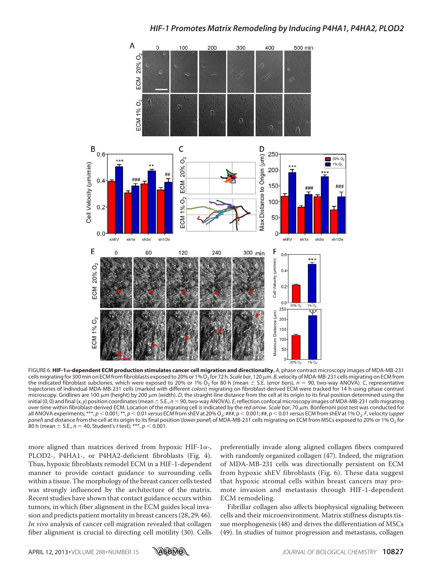

FIGURE 6. HIF-1 $\alpha$ -dependent ECM production stimulates cancer cell migration and directionality. A, phase contrast microscopy images of MDA-MB-231 cells migrating for 300 min on ECM from fibroblasts exposed to 20% or 1% O<sub>2</sub> for 72 h. *Scale bar*, 120 μm. *B*, velocity of MDA-MB-231 cells migrating on ECM from the indicated fibroblast subclones, which were exposed to 20% or 1%  $O_2^{'}$  for 80 h (mean  $\pm$  S.E. (*error bars*),  $n=$  90, two-way ANOVA). C, representative trajectories of individual MDA-MB-231 cells (marked with different *colors*) migrating on fibroblast-derived ECM were tracked for 14 h using phase contrast microscopy. Gridlines are 100  $\mu$ m (height) by 200  $\mu$ m (width). *D*, the straight-line distance from the cell at its origin to its final position determined using the initial (0,0) and final (*x*, *y*) position coordinates (mean ± S.E., *n* = 90, two-way ANOVA). *E*, reflection confocal microscopy images of MDA-MB-231 cells migrating over time within fibroblast-derived ECM. Location of the migrating cell is indicated by the *red arrow. Scale bar*, 70  $\mu$ m. Bonferroni post test was conducted for all ANOVA experiments; \*\*\*, *p* < 0.001; \*\*, *p* < 0.01 *versus* ECM from shEV at 20% O<sub>2</sub>; ###, *p* < 0.001; ##, *p* < 0.01 *versus* ECM from shEV at 1% O<sub>2</sub>. F, velocity (*upper panel*) and distance from the cell at its origin to its final position (*lower panel*) of MDA-MB-231 cells migrating on ECM from MSCs exposed to 20% or 1% O<sup>2</sup> for 80 h (mean  $\pm$  S.E., *n* = 40, Student's *t* test); \*\*\*, *p* < 0.001.

more aligned than matrices derived from hypoxic HIF-1 $\alpha$ -, PLOD2-, P4HA1-, or P4HA2-deficient fibroblasts (Fig. 4). Thus, hypoxic fibroblasts remodel ECM in a HIF-1-dependent manner to provide contact guidance to surrounding cells within a tissue. The morphology of the breast cancer cells tested was strongly influenced by the architecture of the matrix. Recent studies have shown that contact guidance occurs within tumors, in which fiber alignment in the ECM guides local invasion and predicts patient mortality in breast cancers (28, 29, 46). In vivo analysis of cancer cell migration revealed that collagen fiber alignment is crucial to directing cell motility (30). Cells preferentially invade along aligned collagen fibers compared with randomly organized collagen (47). Indeed, the migration of MDA-MB-231 cells was directionally persistent on ECM from hypoxic shEV fibroblasts (Fig. 6). These data suggest that hypoxic stromal cells within breast cancers may promote invasion and metastasis through HIF-1-dependent ECM remodeling.

Fibrillar collagen also affects biophysical signaling between cells and their microenvironment. Matrix stiffness disrupts tissue morphogenesis (48) and drives the differentiation of MSCs (49). In studies of tumor progression and metastasis, collagen

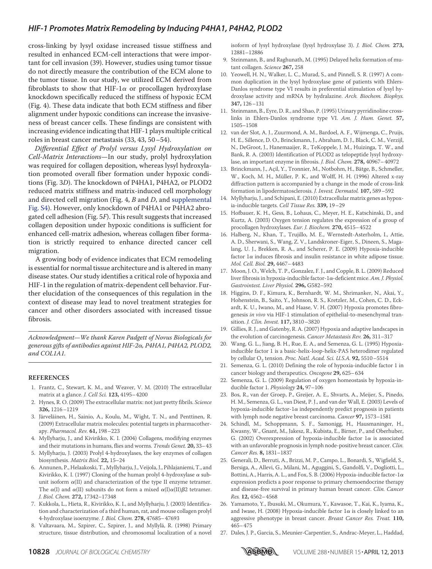cross-linking by lysyl oxidase increased tissue stiffness and resulted in enhanced ECM-cell interactions that were important for cell invasion (39). However, studies using tumor tissue do not directly measure the contribution of the ECM alone to the tumor tissue. In our study, we utilized ECM derived from fibroblasts to show that HIF-1 $\alpha$  or procollagen hydroxylase knockdown specifically reduced the stiffness of hypoxic ECM (Fig. 4). These data indicate that both ECM stiffness and fiber alignment under hypoxic conditions can increase the invasiveness of breast cancer cells. These findings are consistent with increasing evidence indicating that HIF-1 plays multiple critical roles in breast cancer metastasis (33, 43, 50–54).

Differential Effect of Prolyl versus Lysyl Hydroxylation on Cell-Matrix Interactions—In our study, prolyl hydroxylation was required for collagen deposition, whereas lysyl hydroxylation promoted overall fiber formation under hypoxic conditions (Fig. 3D). The knockdown of P4HA1, P4HA2, or PLOD2 reduced matrix stiffness and matrix-induced cell morphology and directed cell migration (Fig.  $4$ ,  $B$  and  $D$ , and supplemental Fig. S4). However, only knockdown of P4HA1 or P4HA2 abrogated cell adhesion (Fig. 5F). This result suggests that increased collagen deposition under hypoxic conditions is sufficient for enhanced cell-matrix adhesion, whereas collagen fiber formation is strictly required to enhance directed cancer cell migration.

A growing body of evidence indicates that ECM remodeling is essential for normal tissue architecture and is altered in many disease states. Our study identifies a critical role of hypoxia and HIF-1 in the regulation of matrix-dependent cell behavior. Further elucidation of the consequences of this regulation in the context of disease may lead to novel treatment strategies for cancer and other disorders associated with increased tissue fibrosis.

Acknowledgment—We thank Karen Padgett of Novus Biologicals for generous gifts of antibodies against HIF-2α, P4HA1, P4HA2, PLOD2, and COL1A1.

#### **REFERENCES**

- 1. Frantz, C., Stewart, K. M., and Weaver, V. M. (2010) The extracellular matrix at a glance. J. Cell Sci. **123,** 4195–4200
- 2. Hynes, R. O. (2009) The extracellular matrix: not just pretty fibrils. Science **326,** 1216–1219
- 3. Järveläinen, H., Sainio, A., Koulu, M., Wight, T. N., and Penttinen, R. (2009) Extracellular matrix molecules: potential targets in pharmacotherapy. Pharmacol. Rev. **61,** 198–223
- 4. Myllyharju, J., and Kivirikko, K. I. (2004) Collagens, modifying enzymes and their mutations in humans, flies and worms. Trends Genet. **20,** 33–43
- 5. Myllyharju, J. (2003) Prolyl 4-hydroxylases, the key enzymes of collagen biosynthesis. Matrix Biol. **22,** 15–24
- 6. Annunen, P., Helaakoski, T., Myllyharju, J., Veijola, J., Pihlajaniemi, T., and Kivirikko, K. I. (1997) Cloning of the human prolyl 4-hydroxylase  $\alpha$  subunit isoform  $\alpha$ (II) and characterization of the type II enzyme tetramer. The  $\alpha(I)$  and  $\alpha(II)$  subunits do not form a mixed  $\alpha(I)\alpha(II)\beta$ 2 tetramer. J. Biol. Chem. **272,** 17342–17348
- 7. Kukkola, L., Hieta, R., Kivirikko, K. I., and Myllyharju, J. (2003) Identification and characterization of a third human, rat, and mouse collagen prolyl 4-hydroxylase isoenzyme. J. Biol. Chem. **278,** 47685–47693
- 8. Valtavaara, M., Szpirer, C., Szpirer, J., and Myllylä, R. (1998) Primary structure, tissue distribution, and chromosomal localization of a novel

isoform of lysyl hydroxylase (lysyl hydroxylase 3). J. Biol. Chem. **273,** 12881–12886

- 9. Steinmann, B., and Raghunath, M. (1995) Delayed helix formation of mutant collagen. Science **267,** 258
- 10. Yeowell, H. N., Walker, L. C., Murad, S., and Pinnell, S. R. (1997) A common duplication in the lysyl hydroxylase gene of patients with Ehlers-Danlos syndrome type VI results in preferential stimulation of lysyl hydroxylase activity and mRNA by hydralazine. Arch. Biochem. Biophys. **347,** 126–131
- 11. Steinmann, B., Eyre, D. R., and Shao, P. (1995) Urinary pyrridinoline crosslinks in Ehlers-Danlos syndrome type VI. Am. J. Hum. Genet. **57,** 1505–1508
- 12. van der Slot, A. J., Zuurmond, A. M., Bardoel, A. F., Wijmenga, C., Pruijs, H. E., Sillence, D. O., Brinckmann, J., Abraham, D. J., Black, C. M., Verzijl, N., DeGroot, J., Hanemaaijer, R., TeKoppele, J. M., Huizinga, T. W., and Bank, R. A. (2003) Identification of PLOD2 as telopeptide lysyl hydroxylase, an important enzyme in fibrosis. J. Biol. Chem. **278,** 40967–40972
- 13. Brinckmann, J., Açil, Y., Tronnier, M., Notbohm, H., Bätge, B., Schmeller, W., Koch, M. H., Müller, P. K., and Wolff, H. H. (1996) Altered x-ray diffraction pattern is accompanied by a change in the mode of cross-link formation in lipodermatosclerosis. J. Invest. Dermatol. **107,** 589–592
- 14. Myllyharju, J., and Schipani, E. (2010) Extracellular matrix genes as hypoxia-inducible targets. Cell Tissue Res. **339,** 19–29
- 15. Hofbauer, K. H., Gess, B., Lohaus, C., Meyer, H. E., Katschinski, D., and Kurtz, A. (2003) Oxygen tension regulates the expression of a group of procollagen hydroxylases. Eur. J. Biochem. **270,** 4515–4522
- 16. Halberg, N., Khan, T., Trujillo, M. E., Wernstedt-Asterholm, I., Attie, A. D., Sherwani, S., Wang, Z. V., Landskroner-Eiger, S., Dineen, S., Magalang, U. J., Brekken, R. A., and Scherer, P. E. (2009) Hypoxia-inducible factor  $1\alpha$  induces fibrosis and insulin resistance in white adipose tissue. Mol. Cell. Biol. **29,** 4467–4483
- 17. Moon, J. O., Welch, T. P., Gonzalez, F. J., and Copple, B. L. (2009) Reduced liver fibrosis in hypoxia-inducible factor-1 $\alpha$ -deficient mice. Am. J. Physiol. Gastrointest. Liver Physiol. **296,** G582–592
- 18. Higgins, D. F., Kimura, K., Bernhardt, W. M., Shrimanker, N., Akai, Y., Hohenstein, B., Saito, Y., Johnson, R. S., Kretzler, M., Cohen, C. D., Eckardt, K. U., Iwano, M., and Haase, V. H. (2007) Hypoxia promotes fibrogenesis in vivo via HIF-1 stimulation of epithelial-to-mesenchymal transition. J. Clin. Invest. **117,** 3810–3820
- 19. Gillies, R. J., and Gatenby, R. A. (2007) Hypoxia and adaptive landscapes in the evolution of carcinogenesis. Cancer Metastasis Rev. **26,** 311–317
- 20. Wang, G. L., Jiang, B. H., Rue, E. A., and Semenza, G. L. (1995) Hypoxiainducible factor 1 is a basic-helix-loop-helix-PAS heterodimer regulated by cellular O<sub>2</sub> tension. *Proc. Natl. Acad. Sci. U.S.A.* **92,** 5510–5514
- 21. Semenza, G. L. (2010) Defining the role of hypoxia-inducible factor 1 in cancer biology and therapeutics. Oncogene **29,** 625–634
- 22. Semenza, G. L. (2009) Regulation of oxygen homeostasis by hypoxia-inducible factor 1. Physiology **24,** 97–106
- 23. Bos, R., van der Groep, P., Greijer, A. E., Shvarts, A., Meijer, S., Pinedo, H. M., Semenza, G. L., van Diest, P. J., and van der Wall, E. (2003) Levels of hypoxia-inducible factor-1 $\alpha$  independently predict prognosis in patients with lymph node negative breast carcinoma. Cancer **97,** 1573–1581
- 24. Schindl, M., Schoppmann, S. F., Samonigg, H., Hausmaninger, H., Kwasny, W., Gnant, M., Jakesz, R., Kubista, E., Birner, P., and Oberhuber, G. (2002) Overexpression of hypoxia-inducible factor  $1\alpha$  is associated with an unfavorable prognosis in lymph node-positive breast cancer. Clin. Cancer Res. **8,** 1831–1837
- 25. Generali, D., Berruti, A., Brizzi, M. P., Campo, L., Bonardi, S., Wigfield, S., Bersiga, A., Allevi, G., Milani, M., Aguggini, S., Gandolfi, V., Dogliotti, L., Bottini, A., Harris, A. L., and Fox, S. B. (2006) Hypoxia-inducible factor-1 $\alpha$ expression predicts a poor response to primary chemoendocrine therapy and disease-free survival in primary human breast cancer. Clin. Cancer Res. **12,** 4562–4568
- 26. Yamamoto, Y., Ibusuki, M., Okumura, Y., Kawasoe, T., Kai, K., Iyama, K., and Iwase, H. (2008) Hypoxia-inducible factor  $1\alpha$  is closely linked to an aggressive phenotype in breast cancer. Breast Cancer Res. Treat. **110,** 465–475
- 27. Dales, J. P., Garcia, S., Meunier-Carpentier, S., Andrac-Meyer, L., Haddad,